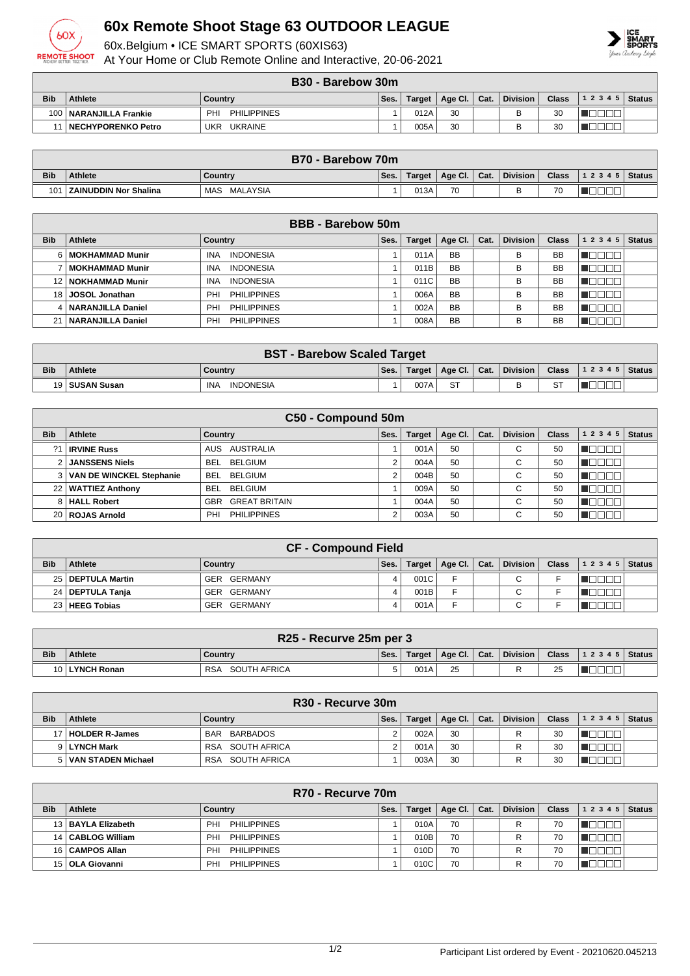

## **60x Remote Shoot Stage 63 OUTDOOR LEAGUE**

60x.Belgium • ICE SMART SPORTS (60XIS63)

At Your Home or Club Remote Online and Interactive, 20-06-2021



|            | B30 - Barebow 30m        |                           |      |               |         |      |                 |              |                  |  |
|------------|--------------------------|---------------------------|------|---------------|---------|------|-----------------|--------------|------------------|--|
| <b>Bib</b> | Athlete                  | Country                   | Ses. | <b>Target</b> | Age Cl. | Cat. | <b>Division</b> | <b>Class</b> | $ 12345 $ Status |  |
|            | 100   NARANJILLA Frankie | <b>PHILIPPINES</b><br>PHI |      | 012A          | 30      |      |                 | 30           |                  |  |
|            | 11   NECHYPORENKO Petro  | UKRAINE<br>UKR            |      | 005A          | 30      |      |                 | 30           |                  |  |

|            | B70 - Barebow 70m            |                 |      |        |         |      |                 |              |           |               |
|------------|------------------------------|-----------------|------|--------|---------|------|-----------------|--------------|-----------|---------------|
| <b>Bib</b> | <b>Athlete</b>               | Country         | Ses. | Target | Age Cl. | Cat. | <b>Division</b> | <b>Class</b> | 1 2 3 4 5 | <b>Status</b> |
| 101        | <b>ZAINUDDIN Nor Shalina</b> | MALAYSIA<br>MAS |      | 013A   | 70      |      |                 | 70           |           |               |

|            | <b>BBB</b> - Barebow 50m |                                |      |               |           |      |                 |              |           |               |  |
|------------|--------------------------|--------------------------------|------|---------------|-----------|------|-----------------|--------------|-----------|---------------|--|
| <b>Bib</b> | Athlete                  | Country                        | Ses. | <b>Target</b> | Age Cl.   | Cat. | <b>Division</b> | <b>Class</b> | 1 2 3 4 5 | <b>Status</b> |  |
|            | 6   MOKHAMMAD Munir      | <b>INDONESIA</b><br><b>INA</b> |      | 011A          | <b>BB</b> |      | в               | <b>BB</b>    |           |               |  |
|            | MOKHAMMAD Munir          | <b>INDONESIA</b><br><b>INA</b> |      | 011B          | <b>BB</b> |      | B               | <b>BB</b>    |           |               |  |
|            | 12   NOKHAMMAD Munir     | <b>INDONESIA</b><br><b>INA</b> |      | 011C          | <b>BB</b> |      | B               | <b>BB</b>    |           |               |  |
|            | 18 JOSOL Jonathan        | PHI<br><b>PHILIPPINES</b>      |      | 006A          | <b>BB</b> |      | B               | <b>BB</b>    |           |               |  |
|            | 4   NARANJILLA Daniel    | <b>PHILIPPINES</b><br>PHI      |      | 002A          | <b>BB</b> |      | B               | <b>BB</b>    |           |               |  |
| 21         | <b>NARANJILLA Daniel</b> | PHI<br><b>PHILIPPINES</b>      |      | 008A          | <b>BB</b> |      | B               | <b>BB</b>    |           |               |  |

|            | <b>BST - Barebow Scaled Target</b>                                                                                        |                                |  |      |           |  |  |    |  |  |
|------------|---------------------------------------------------------------------------------------------------------------------------|--------------------------------|--|------|-----------|--|--|----|--|--|
| <b>Bib</b> | ∣ Division ′<br><b>Class</b><br>  1 2 3 4 5   Status  <br>Age Cl.   Cat.<br>Ses.<br><b>Athlete</b><br>Target  <br>Country |                                |  |      |           |  |  |    |  |  |
|            | 19   SUSAN Susan                                                                                                          | <b>INDONESIA</b><br><b>INA</b> |  | 007A | <b>ST</b> |  |  | C. |  |  |

|            | C50 - Compound 50m         |                              |      |               |         |      |                 |              |           |               |  |  |
|------------|----------------------------|------------------------------|------|---------------|---------|------|-----------------|--------------|-----------|---------------|--|--|
| <b>Bib</b> | Athlete                    | Country                      | Ses. | <b>Target</b> | Age Cl. | Cat. | <b>Division</b> | <b>Class</b> | 1 2 3 4 5 | <b>Status</b> |  |  |
|            | <b>IRVINE Russ</b>         | AUSTRALIA<br>AUS             |      | 001A          | 50      |      | ⌒<br>U          | 50           |           |               |  |  |
|            | 2 JANSSENS Niels           | <b>BELGIUM</b><br><b>BEL</b> | 2    | 004A          | 50      |      | С               | 50           |           |               |  |  |
|            | 3 VAN DE WINCKEL Stephanie | BELGIUM<br>BEL.              | 2    | 004B          | 50      |      | ⌒<br>◡          | 50           |           |               |  |  |
|            | 22   WATTIEZ Anthony       | <b>BELGIUM</b><br><b>BEL</b> |      | 009A          | 50      |      | $\sim$<br>U     | 50           |           |               |  |  |
|            | 8   HALL Robert            | <b>GREAT BRITAIN</b><br>GBR  |      | 004A          | 50      |      | ⌒<br>U          | 50           |           |               |  |  |
|            | 20   ROJAS Arnold          | <b>PHILIPPINES</b><br>PHI    |      | 003A          | 50      |      | С               | 50           |           |               |  |  |

|            | <b>CF - Compound Field</b> |                |      |               |                      |  |                 |              |                |  |  |
|------------|----------------------------|----------------|------|---------------|----------------------|--|-----------------|--------------|----------------|--|--|
| <b>Bib</b> | <b>Athlete</b>             | Country        | Ses. | <b>Target</b> | Age Cl. $\vert$ Cat. |  | <b>Division</b> | <b>Class</b> | $12345$ Status |  |  |
|            | 25   DEPTULA Martin        | GER GERMANY    |      | 001C          |                      |  | C.              |              |                |  |  |
|            | 24   DEPTULA Tanja         | GER GERMANY    |      | 001B          |                      |  |                 |              |                |  |  |
|            | 23   HEEG Tobias           | GERMANY<br>GER |      | 001A          |                      |  | ⌒<br>◡          |              |                |  |  |

|            | R25 - Recurve 25m per 3                                                                                          |                     |  |      |    |  |   |    |  |  |
|------------|------------------------------------------------------------------------------------------------------------------|---------------------|--|------|----|--|---|----|--|--|
| <b>Bib</b> | <b>Class</b> $ 12345 $ Status<br>Division<br>Target   Age Cl. $\vert$ Cat. $\vert$<br>Athlete<br>Ses.<br>Country |                     |  |      |    |  |   |    |  |  |
|            | 10 LYNCH Ronan                                                                                                   | SOUTH AFRICA<br>RSA |  | 001A | 25 |  | R | 25 |  |  |

|            | R <sub>30</sub> - Recurve 30m |                            |      |               |                      |  |                 |              |       |          |  |
|------------|-------------------------------|----------------------------|------|---------------|----------------------|--|-----------------|--------------|-------|----------|--|
| <b>Bib</b> | <b>Athlete</b>                | Country                    | Ses. | <b>Target</b> | Age Cl. $\vert$ Cat. |  | <b>Division</b> | <b>Class</b> | 12345 | Status I |  |
|            | 17   HOLDER R-James           | BARBADOS<br><b>BAR</b>     |      | 002A          | 30                   |  |                 | 30           |       |          |  |
|            | 9 LYNCH Mark                  | SOUTH AFRICA<br><b>RSA</b> |      | 001A          | 30                   |  |                 | 30           |       |          |  |
|            | 5   VAN STADEN Michael        | SOUTH AFRICA<br>RSA        |      | 003A          | 30                   |  | ₽               | 30           |       |          |  |

|            | R70 - Recurve 70m    |                           |      |               |         |      |                 |              |           |               |  |  |
|------------|----------------------|---------------------------|------|---------------|---------|------|-----------------|--------------|-----------|---------------|--|--|
| <b>Bib</b> | Athlete              | Country                   | Ses. | <b>Target</b> | Age Cl. | Cat. | <b>Division</b> | <b>Class</b> | 1 2 3 4 5 | <b>Status</b> |  |  |
|            | 13   BAYLA Elizabeth | PHILIPPINES<br>PHI        |      | 010A          | 70      |      | R               | 70           |           |               |  |  |
|            | 14   CABLOG William  | PHILIPPINES<br>PHI        |      | 010B          | 70      |      |                 | 70           |           |               |  |  |
|            | 16   CAMPOS Allan    | PHILIPPINES<br>PHI        |      | 010D          | 70      |      |                 | 70           |           |               |  |  |
|            | 15   OLA Giovanni    | <b>PHILIPPINES</b><br>PHI |      | 010C          | 70      |      |                 | 70           |           |               |  |  |